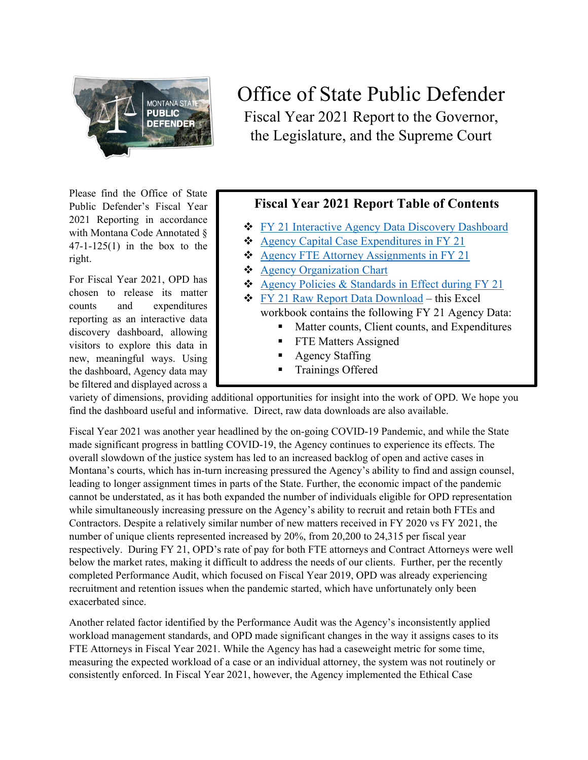

Please find the Office of State Public Defender's Fiscal Year 2021 Reporting in accordance with Montana Code Annotated § 47-1-125(1) in the box to the right.

For Fiscal Year 2021, OPD has chosen to release its matter counts and expenditures reporting as an interactive data discovery dashboard, allowing visitors to explore this data in new, meaningful ways. Using the dashboard, Agency data may be filtered and displayed across a

## Office of State Public Defender Fiscal Year 2021 Report to the Governor, the Legislature, and the Supreme Court

## **Fiscal Year 2021 Report Table of Contents**

- **❖** [FY 21 Interactive Agency Data Discovery Dashboard](https://dataportal.mt.gov/t/OPD/views/OPDAnnualReportWorkbook/OPDInteractiveAgencyDataDiscoveryDashboard?:embed=yes&:toolbar=top)
- ◆ [Agency Capital Case Expenditures in FY 21](https://dataportal.mt.gov/t/OPD/views/OPDAnnualReportWorkbook/OPDCapitalCaseExpenditures?:embed=yes&:toolbar=no)
- ◆ [Agency FTE Attorney Assignments in FY 21](https://dataportal.mt.gov/t/OPD/views/OPDAnnualReportWorkbook/OPDFTEAttorneyAssignments?:embed=yes&:toolbar=no)
- [Agency Organization Chart](https://opd.mt.gov/_docs/About/OPD-Org-Chart-1-2022.pdf)
- ◆ [Agency Policies & Standards in Effect during FY 21](https://opd.mt.gov/_docs/GovernorsReport/Archived%20Policies/Archived-Policies)
- $\div$  [FY 21 Raw Report Data Download](https://view.officeapps.live.com/op/view.aspx?src=https%3A%2F%2Fopd.mt.gov%2F_docs%2FGovernorsReport%2F2021%2FFY-2021-Annual-Report-Raw-Data.xlsx&wdOrigin=BROWSELINK) this Excel workbook contains the following FY 21 Agency Data:
	- Matter counts, Client counts, and Expenditures
	- **FTE Matters Assigned**
	- Agency Staffing
	- **Trainings Offered**

variety of dimensions, providing additional opportunities for insight into the work of OPD. We hope you find the dashboard useful and informative. Direct, raw data downloads are also available.

Fiscal Year 2021 was another year headlined by the on-going COVID-19 Pandemic, and while the State made significant progress in battling COVID-19, the Agency continues to experience its effects. The overall slowdown of the justice system has led to an increased backlog of open and active cases in Montana's courts, which has in-turn increasing pressured the Agency's ability to find and assign counsel, leading to longer assignment times in parts of the State. Further, the economic impact of the pandemic cannot be understated, as it has both expanded the number of individuals eligible for OPD representation while simultaneously increasing pressure on the Agency's ability to recruit and retain both FTEs and Contractors. Despite a relatively similar number of new matters received in FY 2020 vs FY 2021, the number of unique clients represented increased by 20%, from 20,200 to 24,315 per fiscal year respectively. During FY 21, OPD's rate of pay for both FTE attorneys and Contract Attorneys were well below the market rates, making it difficult to address the needs of our clients. Further, per the recently completed Performance Audit, which focused on Fiscal Year 2019, OPD was already experiencing recruitment and retention issues when the pandemic started, which have unfortunately only been exacerbated since.

Another related factor identified by the Performance Audit was the Agency's inconsistently applied workload management standards, and OPD made significant changes in the way it assigns cases to its FTE Attorneys in Fiscal Year 2021. While the Agency has had a caseweight metric for some time, measuring the expected workload of a case or an individual attorney, the system was not routinely or consistently enforced. In Fiscal Year 2021, however, the Agency implemented the Ethical Case